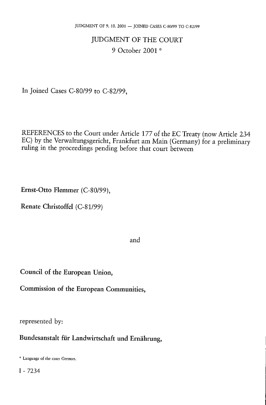# JUDGMENT OF THE COURT 9 October 2001 \*

In Joined Cases C-80/99 to C-82/99,

REFERENCES to the Court under Article 177 of the EC Treaty (now Article 234 EC) by the Verwaltungsgericht, Frankfurt am Main (Germany) for a preliminary ruling in the proceedings pending before that court between

Ernst-Otto Flemmer (C-80/99),

Renate Christoffel (C-81/99)

and

Council of the European Union,

Commission of the European Communities,

represented by:

Bundesanstalt für Landwirtschaft und Ernährung,

<sup>\*</sup> Language of the case: German.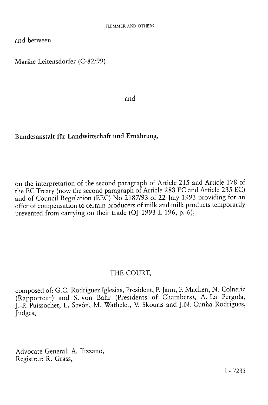and between

Marike Leitensdorfer (C-82/99)

and

### Bundesanstalt für Landwirtschaft und Ernährung,

on the interpretation of the second paragraph of Article 215 and Article 178 of the EC Treaty (now the second paragraph of Article 288 EC and Article 235 EC) and of Council Regulation (EEC) No 2187/93 of 22 July 1993 providing for an offer of compensation to certain producers of milk and milk products temporarily prevented from carrying on their trade (OJ 1993 L 196, p.  $6$ ),

### THE COURT,

composed of: G.C. Rodríguez Iglesias, President, P. Jann, F. Macken, N. Colneric (Rapporteur) and S. von Bahr (Presidents of Chambers), A. La Pergola, J.-P. Puissochet, L. Sevón, M. Wathelet, V. Skouris and J.N. Cunha Rodrigues, Judges,

Advocate General: A. Tizzano, Registrar: R. Grass,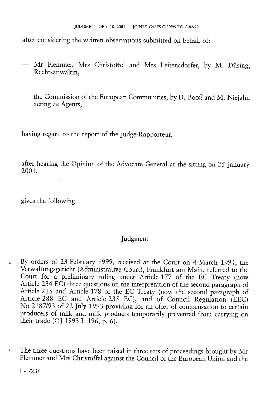after considering the written observations submitted on behalf of:

- Mr Flemmer, Mrs Christoffel and Mrs Leitensdorfer, by M. Düsing, Rechtsanwältin,
- the Commission of the European Communities, by D. Booß and M. Niejahr, acting as Agents,

having regard to the report of the Judge-Rapporteur,

after hearing the Opinion of the Advocate General at the sitting on 25 January 2001,

gives the following

## Judgment

- 1 By orders of 23 February 1999, received at the Court on 4 March 1994, the Verwaltungsgericht (Administrative Court), Frankfurt am Main, referred to the Court for a preliminary ruling under Article 177 of the EC Treaty (now Article 234 EC) three questions on the interpretation of the second paragraph of Article 215 and Article 178 of the EC Treaty (now the second paragraph of Article 288 EC and Article 235 EC), and of Council Regulation (EEC) No 2187/93 of 22 July 1993 providing for an offer of compensation to certain producers of milk and milk products temporarily prevented from carrying on their trade (OI 1993 L 196, p. 6).
- 2 The three questions have been raised in three sets of proceedings brought by Mr Flemmer and Mrs Christoffel against the Council of the European Union and the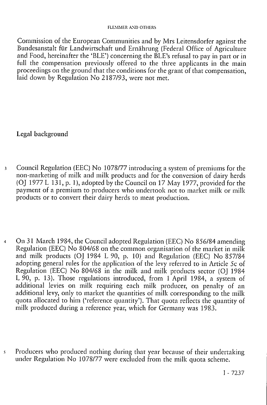Commission of the European Communities and by Mrs Leitensdorfer against the Bundesanstalt für Landwirtschaft und Ernährung (Federal Office of Agriculture and Food, hereinafter the 'BLE') concerning the BLE's refusal to pay in part or in full the compensation previously offered to the three applicants in the main proceedings on the ground that the conditions for the grant of that compensation, laid down by Regulation No 2187/93, were not met.

Legal background

- 3 Council Regulation (EEC) No 1078/77 introducing a system of premiums for the non-marketing of milk and milk products and for the conversion of dairy herds (OJ 1977 L 131, p. 1), adopted by the Council on 17 May 1977, provided for the payment of a premium to producers who undertook not to market milk or milk products or to convert their dairy herds to meat production.
- 4 On 31 March 1984, the Council adopted Regulation (EEC) No 856/84 amending Regulation (EEC) No 804/68 on the common organisation of the market in milk and milk products (OJ 1984 L 90, p. 10) and Regulation (EEC) No 857/84 adopting general rules for the application of the levy referred to in Article 5c of Regulation (EEC) No 804/68 in the milk and milk products sector (OJ 1984 L 90, p. 13). Those regulations introduced, from 1 April 1984, a system of additional levies on milk requiring each milk producer, on penalty of an additional levy, only to market the quantities of milk corresponding to the milk quota allocated to him ('reference quantity'). That quota reflects the quantity of milk produced during a reference year, which for Germany was 1983.
- 5 Producers who produced nothing during that year because of their undertaking under Regulation No 1078/77 were excluded from the milk quota scheme.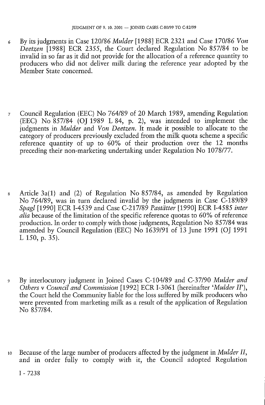- 6 By its judgments in Case 120/86 *Mulder* [1988] ECR 2321 and Case 170/86 *Von Deetzen* [1988] ECR 2355, the Court declared Regulation No 857/84 to be invalid in so far as it did not provide for the allocation of a reference quantity to producers who did not deliver milk during the reference year adopted by the Member State concerned.
- 7 Council Regulation (EEC) No 764/89 of 20 March 1989, amending Regulation (EEC) No 857/84 (OJ 1989 L 84, p. 2), was intended to implement the judgments in *Mulder* and *Von Deetzen.* It made it possible to allocate to the category of producers previously excluded from the milk quota scheme a specific reference quantity of up to 60% of their production over the 12 months preceding their non-marketing undertaking under Regulation No 1078/77.
- 8 Article 3a(1) and (2) of Regulation No 857/84, as amended by Regulation No 764/89, was in turn declared invalid by the judgments in Case C-189/89 *Spagl* [1990] ECR I-4539 and Case C-217/89 *Pastätter* [1990] ECR I-4585 *inter alia* because of the limitation of the specific reference quotas to 60% of reference production. In order to comply with those judgments, Regulation No 857/84 was amended by Council Regulation (EEC) No 1639/91 of 13 June 1991 (OJ 1991 L 150, p. 35).
- 9 By interlocutory judgment in Joined Cases C-104/89 and C-37/90 *Mulder and Others* v *Council and Commission* [1992] ECR I-3061 (hereinafter *'Mulder II'),*  the Court held the Community liable for the loss suffered by milk producers who were prevented from marketing milk as a result of the application of Regulation No 857/84.
- 10 Because of the large number of producers affected by the judgment in *Mulder II,*  and in order fully to comply with it, the Council adopted Regulation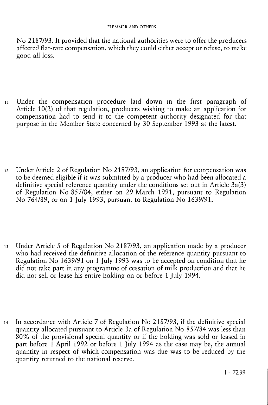No 2187/93. It provided that the national authorities were to offer the producers affected flat-rate compensation, which they could either accept or refuse, to make good all loss.

- 1 1 Under the compensation procedure laid down in the first paragraph of Article 10(2) of that regulation, producers wishing to make an application for compensation had to send it to the competent authority designated for that purpose in the Member State concerned by 30 September 1993 at the latest.
- 12 Under Article 2 of Regulation No 2187/93, an application for compensation was to be deemed eligible if it was submitted by a producer who had been allocated a definitive special reference quantity under the conditions set out in Article 3a(3) of Regulation No 857/84, either on 29 March 1991, pursuant to Regulation No 764/89, or on 1 July 1993, pursuant to Regulation No 1639/91.
- 13 Under Article 5 of Regulation No 2187/93, an application made by a producer who had received the definitive allocation of the reference quantity pursuant to Regulation No 1639/91 on 1 July 1993 was to be accepted on condition that he did not take part in any programme of cessation of milk production and that he did not sell or lease his entire holding on or before 1 July 1994.
- 14 In accordance with Article 7 of Regulation No 2187/93, if the definitive special quantity allocated pursuant to Article 3a of Regulation No 857/84 was less than 80% of the provisional special quantity or if the holding was sold or leased in part before 1 April 1992 or before 1 July 1994 as the case may be, the annual quantity in respect of which compensation was due was to be reduced by the quantity returned to the national reserve.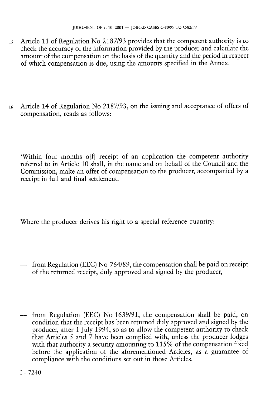- 15 Article 11 of Regulation No 2187/93 provides that the competent authority is to check the accuracy of the information provided by the producer and calculate the amount of the compensation on the basis of the quantity and the period in respect of which compensation is due, using the amounts specified in the Annex.
- 16 Article 14 of Regulation No 2187/93, on the issuing and acceptance of offers of compensation, reads as follows:

'Within four months o[f] receipt of an application the competent authority referred to in Article 10 shall, in the name and on behalf of the Council and the Commission, make an offer of compensation to the producer, accompanied by a receipt in full and final settlement.

Where the producer derives his right to a special reference quantity:

- from Regulation (EEC) No 764/89, the compensation shall be paid on receipt of the returned receipt, duly approved and signed by the producer,
- from Regulation (EEC) No 1639/91, the compensation shall be paid, on condition that the receipt has been returned duly approved and signed by the producer, after 1 July 1994, so as to allow the competent authority to check that Articles 5 and 7 have been complied with, unless the producer lodges with that authority a security amounting to 115% of the compensation fixed before the application of the aforementioned Articles, as a guarantee of compliance with the conditions set out in those Articles.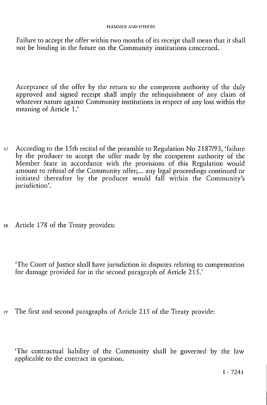Failure to accept the offer within two months of its receipt shall mean that it shall not be binding in the future on the Community institutions concerned.

Acceptance of the offer by the return to the competent authority of the duly approved and signed receipt shall imply the relinquishment of any claim of whatever nature against Community institutions in respect of any loss within the meaning of Article 1.'

- 17 According to the 15th recital of the preamble to Regulation No 2187/93, 'failure by the producer to accept the offer made by the competent authority of the Member State in accordance with the provisions of this Regulation would amount to refusal of the Community offer;... any legal proceedings continued or initiated thereafter by the producer would fall within the Community's jurisdiction'.
- 18 Article 178 of the Treaty provides:

'The Court of Justice shall have jurisdiction in disputes relating to compensation for damage provided for in the second paragraph of Article 215.'

19 The first and second paragraphs of Article 215 of the Treaty provide:

'The contractual liability of the Community shall be governed by the law applicable to the contract in question.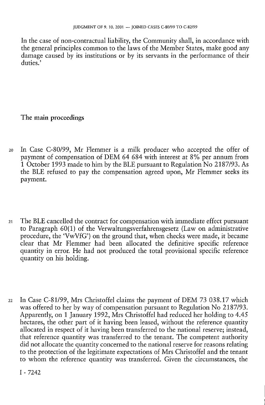In the case of non-contractual liability, the Community shall, in accordance with the general principles common to the laws of the Member States, make good any damage caused by its institutions or by its servants in the performance of their duties.'

The main proceedings

- 20 In Case C-80/99, Mr Flemmer is a milk producer who accepted the offer of payment of compensation of DEM 64 684 with interest at 8% per annum from 1 October 1993 made to him by the BLE pursuant to Regulation No 2187/93. As the BLE refused to pay the compensation agreed upon, Mr Flemmer seeks its payment.
- 21 The BLE cancelled the contract for compensation with immediate effect pursuant to Paragraph 60(1) of the Verwaltungsverfahrensgesetz (Law on administrative procedure, the 'VwVfG') on the ground that, when checks were made, it became clear that Mr Flemmer had been allocated the definitive specific reference quantity in error. He had not produced the total provisional specific reference quantity on his holding.
- 22 In Case C-81/99, Mrs Christoffel claims the payment of DEM 73 038.17 which was offered to her by way of compensation pursuant to Regulation No 2187/93. Apparently, on 1 January 1992, Mrs Christoffel had reduced her holding to 4.45 hectares, the other part of it having been leased, without the reference quantity allocated in respect of it having been transferred to the national reserve; instead, that reference quantity was transferred to the tenant. The competent authority did not allocate the quantity concerned to the national reserve for reasons relating to the protection of the legitimate expectations of Mrs Christoffel and the tenant to whom the reference quantity was transferred. Given the circumstances, the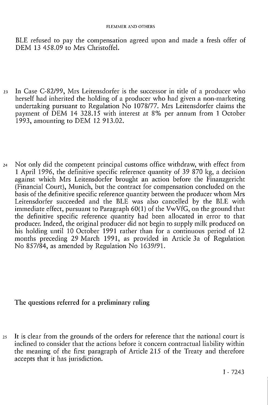BLE refused to pay the compensation agreed upon and made a fresh offer of DEM 13 458.09 to Mrs Christoffel.

- 23 In Case C-82/99, Mrs Leitensdorfer is the successor in title of a producer who herself had inherited the holding of a producer who had given a non-marketing undertaking pursuant to Regulation No 1078/77. Mrs Leitensdorfer claims the payment of DEM 14 328.15 with interest at 8% per annum from 1 October 1993, amounting to DEM 12 913.02.
- <sup>24</sup> Not only did the competent principal customs office withdraw, with effect from 1 April 1996, the definitive specific reference quantity of 39 870 kg, a decision against which Mrs Leitensdorfer brought an action before the Finanzgericht (Financial Court), Munich, but the contract for compensation concluded on the basis of the definitive specific reference quantity between the producer whom Mrs Leitensdorfer succeeded and the BLE was also cancelled by the BLE with immediate effect, pursuant to Paragraph  $60(1)$  of the VwVfG, on the ground that the definitive specific reference quantity had been allocated in error to that producer. Indeed, the original producer did not begin to supply milk produced on his holding until 10 October 1991 rather than for a continuous period of 12 months preceding 29 March 1991, as provided in Article 3a of Regulation No 857/84, as amended by Regulation No  $1639/91$ .

### The questions referred for a preliminary ruling

25 It is clear from the grounds of the orders for reference that the national court is inclined to consider that the actions before it concern contractual liability within the meaning of the first paragraph of Article 215 of the Treaty and therefore accepts that it has jurisdiction.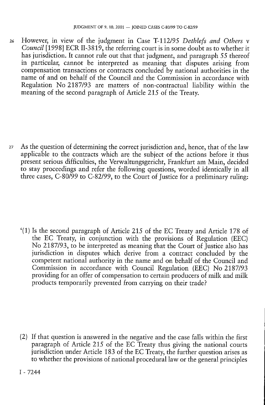26 However, in view of the judgment in Case T-l 12/95 *Dethlefs and Others* v *Council* [1998] ECR II-3819, the referring court is in some doubt as to whether it has jurisdiction. It cannot rule out that that judgment, and paragraph *55* thereof in particular, cannot be interpreted as meaning that disputes arising from compensation transactions or contracts concluded by national authorities in the name of and on behalf of the Council and the Commission in accordance with Regulation No 2187/93 are matters of non-contractual liability within the meaning of the second paragraph of Article 215 of the Treaty.

27 As the question of determining the correct jurisdiction and, hence, that of the law applicable to the contracts which are the subject of the actions before it thus present serious difficulties, the Verwaltungsgericht, Frankfurt am Main, decided to stay proceedings and refer the following questions, worded identically in all three cases, C-80/99 to C-82/99, to the Court of Justice for a preliminary ruling:

'(1) Is the second paragraph of Article 215 of the EC Treaty and Article 178 of the EC Treaty, in conjunction with the provisions of Regulation (EEC) No 2187/93, to be interpreted as meaning that the Court of Justice also has jurisdiction in disputes which derive from a contract concluded by the competent national authority in the name and on behalf of the Council and Commission in accordance with Council Regulation (EEC) No 2187/93 providing for an offer of compensation to certain producers of milk and milk products temporarily prevented from carrying on their trade?

(2) If that question is answered in the negative and the case falls within the first paragraph of Article 215 of the EC Treaty thus giving the national courts jurisdiction under Article 183 of the EC Treaty, the further question arises as to whether the provisions of national procedural law or the general principles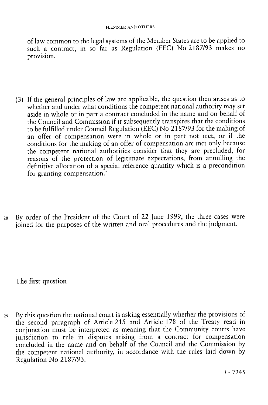of law common to the legal systems of the Member States are to be applied to such a contract, in so far as Regulation (EEC) No 2187/93 makes no provision.

- (3) If the general principles of law are applicable, the question then arises as to whether and under what conditions the competent national authority may set aside in whole or in part a contract concluded in the name and on behalf of the Council and Commission if it subsequently transpires that the conditions to be fulfilled under Council Regulation (EEC) No 2187/93 for the making of an offer of compensation were in whole or in part not met, or if the conditions for the making of an offer of compensation are met only because the competent national authorities consider that they are precluded, for reasons of the protection of legitimate expectations, from annulling the definitive allocation of a special reference quantity which is a precondition for granting compensation.'
- 28 By order of the President of the Court of 22 June 1999, the three cases were joined for the purposes of the written and oral procedures and the judgment.

The first question

29 By this question the national court is asking essentially whether the provisions of the second paragraph of Article 215 and Article 178 of the Treaty read in conjunction must be interpreted as meaning that the Community courts have jurisdiction to rule in disputes arising from a contract for compensation concluded in the name and on behalf of the Council and the Commission by the competent national authority, in accordance with the rules laid down by Regulation No 2187/93.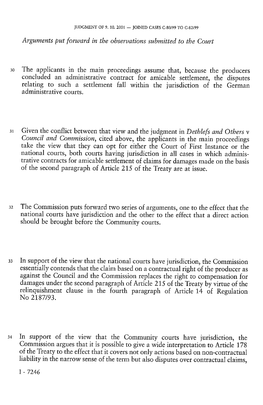*Arguments put forward in the observations submitted to the Court* 

- 30 The applicants in the main proceedings assume that, because the producers concluded an administrative contract for amicable settlement, the disputes relating to such a settlement fall within the jurisdiction of the German administrative courts.
- 31 Given the conflict between that view and the judgment in *Dethlefs and Others* v *Council and Commission,* cited above, the applicants in the main proceedings take the view that they can opt for either the Court of First Instance or the national courts, both courts having jurisdiction in all cases in which administrative contracts for amicable settlement of claims for damages made on the basis of the second paragraph of Article 215 of the Treaty are at issue.
- 32 The Commission puts forward two series of arguments, one to the effect that the national courts have jurisdiction and the other to the effect that a direct action should be brought before the Community courts.
- 33 In support of the view that the national courts have jurisdiction, the Commission essentially contends that the claim based on a contractual right of the producer as against the Council and the Commission replaces the right to compensation for damages under the second paragraph of Article 215 of the Treaty by virtue of the relinquishment clause in the fourth paragraph of Article 14 of Regulation No 2187/93.
- 34 In support of the view that the Community courts have jurisdiction, the Commission argues that it is possible to give a wide interpretation to Article 178 of the Treaty to the effect that it covers not only actions based on non-contractual liability in the narrow sense of the term but also disputes over contractual claims,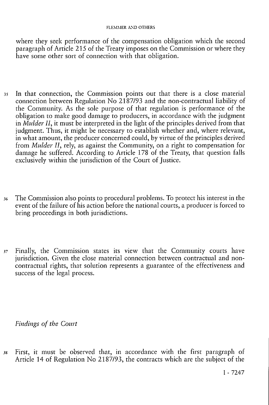where they seek performance of the compensation obligation which the second paragraph of Article 215 of the Treaty imposes on the Commission or where they have some other sort of connection with that obligation.

- 35 In that connection, the Commission points out that there is a close material connection between Regulation No  $2187/93$  and the non-contractual liability of the Community. As the sole purpose of that regulation is performance of the obligation to make good damage to producers, in accordance with the judgment in *Mulder II*, it must be interpreted in the light of the principles derived from that judgment. Thus, it might be necessary to establish whether and, where relevant, in what amount, the producer concerned could, by virtue of the principles derived from *Mulder II,* rely, as against the Community, on a right to compensation for damage he suffered. According to Article 178 of the Treaty, that question falls exclusively within the jurisdiction of the Court of Justice.
- 36 The Commission also points to procedural problems. To protect his interest in the event of the failure of his action before the national courts, a producer is forced to bring proceedings in both jurisdictions.
- 37 Finally, the Commission states its view that the Community courts have jurisdiction. Given the close material connection between contractual and noncontractual rights, that solution represents a guarantee of the effectiveness and success of the legal process.

*Findings of the Court* 

38 First, it must be observed that, in accordance with the first paragraph of Article 14 of Regulation No 2187/93, the contracts which are the subject of the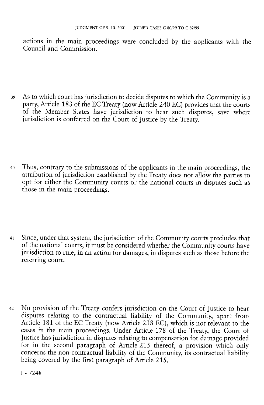actions in the main proceedings were concluded by the applicants with the Council and Commission.

- 39 As to which court has jurisdiction to decide disputes to which the Community is a party, Article 183 of the EC Treaty (now Article 240 EC) provides that the courts of the Member States have jurisdiction to hear such disputes, save where jurisdiction is conferred on the Court of Justice by the Treaty.
- 40 Thus, contrary to the submissions of the applicants in the main proceedings, the attribution of jurisdiction established by the Treaty does not allow the parties to opt for either the Community courts or the national courts in disputes such as those in the main proceedings.
- 41 Since, under that system, the jurisdiction of the Community courts precludes that of the national courts, it must be considered whether the Community courts have jurisdiction to rule, in an action for damages, in disputes such as those before the referring court.
- 42 No provision of the Treaty confers jurisdiction on the Court of Justice to hear disputes relating to the contractual liability of the Community, apart from Article 181 of the EC Treaty (now Article 238 EC), which is not relevant to the cases in the main proceedings. Under Article 178 of the Treaty, the Court of Justice has jurisdiction in disputes relating to compensation for damage provided for in the second paragraph of Article 215 thereof, a provision which only concerns the non-contractual liability of the Community, its contractual liability being covered by the first paragraph of Article 215.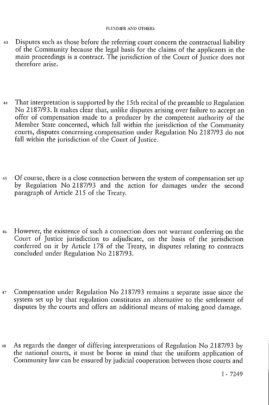- 43 Disputes such as those before the referring court concern the contractual liability of the Community because the legal basis for the claims of the applicants in the main proceedings is a contract. The jurisdiction of the Court of Justice does not therefore arise.
- 44 That interpretation is supported by the 15th recital of the preamble to Regulation No 2187/93. It makes clear that, unlike disputes arising over failure to accept an offer of compensation made to a producer by the competent authority of the Member State concerned, which fall within the jurisdiction of the Community courts, disputes concerning compensation under Regulation No 2187/93 do not fall within the jurisdiction of the Court of Justice.
- 45 Of course, there is a close connection between the system of compensation set up by Regulation No 2187/93 and the action for damages under the second paragraph of Article 215 of the Treaty.
- 46 However, the existence of such a connection does not warrant conferring on the Court of Justice jurisdiction to adjudicate, on the basis of the jurisdiction conferred on it by Article 178 of the Treaty, in disputes relating to contracts concluded under Regulation No 2187/93.
- 47 Compensation under Regulation No 2187/93 remains a separate issue since the system set up by that regulation constitutes an alternative to the settlement of disputes by the courts and offers an additional means of making good damage.
- 48 As regards the danger of differing interpretations of Regulation No 2187/93 by the national courts, it must be borne in mind that the uniform application of Community law can be ensured by judicial cooperation between those courts and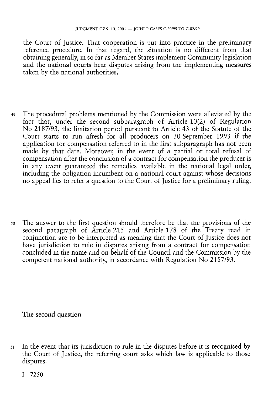the Court of Justice. That cooperation is put into practice in the preliminary reference procedure. In that regard, the situation is no different from that obtaining generally, in so far as Member States implement Community legislation and the national courts hear disputes arising from the implementing measures taken by the national authorities.

- 49 The procedural problems mentioned by the Commission were alleviated by the fact that, under the second subparagraph of Article 10(2) of Regulation No 2187/93, the limitation period pursuant to Article 43 of the Statute of the Court starts to run afresh for all producers on 30 September 1993 if the application for compensation referred to in the first subparagraph has not been made by that date. Moreover, in the event of a partial or total refusal of compensation after the conclusion of a contract for compensation the producer is in any event guaranteed the remedies available in the national legal order, including the obligation incumbent on a national court against whose decisions no appeal lies to refer a question to the Court of Justice for a preliminary ruling.
- 50 The answer to the first question should therefore be that the provisions of the second paragraph of Article 215 and Article 178 of the Treaty read in conjunction are to be interpreted as meaning that the Court of Justice does not have jurisdiction to rule in disputes arising from a contract for compensation concluded in the name and on behalf of the Council and the Commission by the competent national authority, in accordance with Regulation No 2187/93.

### The second question

51 In the event that its jurisdiction to rule in the disputes before it is recognised by the Court of Justice, the referring court asks which law is applicable to those disputes.

 $I - 72.50$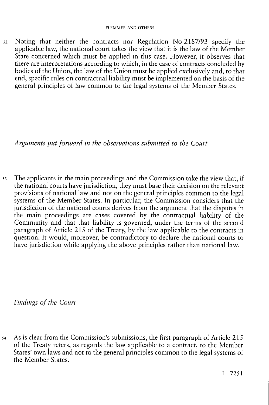52 Noting that neither the contracts nor Regulation No 2187/93 specify the applicable law, the national court takes the view that it is the law of the Member State concerned which must be applied in this case. However, it observes that there are interpretations according to which, in the case of contracts concluded by bodies of the Union, the law of the Union must be applied exclusively and, to that end, specific rules on contractual liability must be implemented on the basis of the general principles of law common to the legal systems of the Member States.

*Arguments put forward in the observations submitted to the Court* 

53 The applicants in the main proceedings and the Commission take the view that, if the national courts have jurisdiction, they must base their decision on the relevant provisions of national law and not on the general principles common to the legal systems of the Member States. In particular, the Commission considers that the jurisdiction of the national courts derives from the argument that the disputes in the main proceedings are cases covered by the contractual liability of the Community and that that liability is governed, under the terms of the second paragraph of Article 215 of the Treaty, by the law applicable to the contracts in question. It would, moreover, be contradictory to declare the national courts to have jurisdiction while applying the above principles rather than national law.

*Findings of the Court* 

54 As is clear from the Commission's submissions, the first paragraph of Article 215 of the Treaty refers, as regards the law applicable to a contract, to the Member States' own laws and not to the general principles common to the legal systems of the Member States.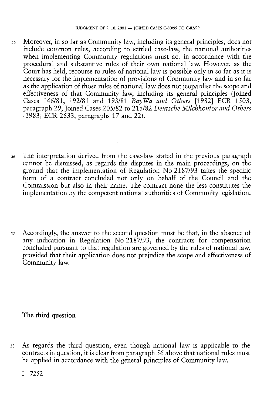- 55 Moreover, in so far as Community law, including its general principles, does not include common rules, according to settled case-law, the national authorities when implementing Community regulations must act in accordance with the procedural and substantive rules of their own national law. However, as the Court has held, recourse to rules of national law is possible only in so far as it is necessary for the implementation of provisions of Community law and in so far as the application of those rules of national law does not jeopardise the scope and effectiveness of that Community law, including its general principles (Joined Cases 146/81, 192/81 and 193/81 *BayWa and Others* [1982] ECR 1503, paragraph 29; Joined Cases 205/82 to 215/82 *Deutsche Milchkontor and Others*  [1983] ECR 2633, paragraphs 17 and 22).
- 56 The interpretation derived from the case-law stated in the previous paragraph cannot be dismissed, as regards the disputes in the main proceedings, on the ground that the implementation of Regulation No 2187/93 takes the specific form of a contract concluded not only on behalf of the Council and the Commission but also in their name. The contract none the less constitutes the implementation by the competent national authorities of Community legislation.
- 57 Accordingly, the answer to the second question must be that, in the absence of any indication in Regulation No 2187/93, the contracts for compensation concluded pursuant to that regulation are governed by the rules of national law, provided that their application does not prejudice the scope and effectiveness of Community law.

## The third question

58 As regards the third question, even though national law is applicable to the contracts in question, it is clear from paragraph *56* above that national rules must be applied in accordance with the general principles of Community law.

 $I - 72.52$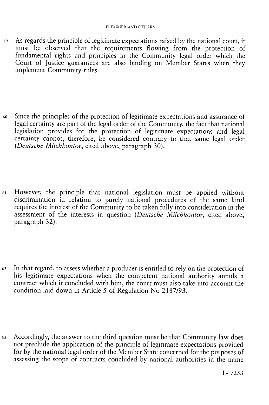- 59 As regards the principle of legitimate expectations raised by the national court, it must be observed that the requirements flowing from the protection of fundamental rights and principles in the Community legal order which the Court of Justice guarantees are also binding on Member States when they implement Community rules.
- 60 Since the principles of the protection of legitimate expectations and assurance of legal certainty are part of the legal order of the Community, the fact that national legislation provides for the protection of legitimate expectations and legal certainty cannot, therefore, be considered contrary to that same legal order *(Deutsche Milchkontor,* cited above, paragraph 30).
- 61 However, the principle that national legislation must be applied without discrimination in relation to purely national procedures of the same kind requires the interest of the Community to be taken fully into consideration in the assessment of the interests in question *[Deutsche Milchkontor,* cited above, paragraph 32).
- 62 In that regard, to assess whether a producer is entitled to rely on the protection of his legitimate expectations when the competent national authority annuls a contract which it concluded with him, the court must also take into account the condition laid down in Article 5 of Regulation No 2187/93.
- *63* Accordingly, the answer to the third question must be that Community law does not preclude the application of the principle of legitimate expectations provided for by the national legal order of the Member State concerned for the purposes of assessing the scope of contracts concluded by national authorities in the name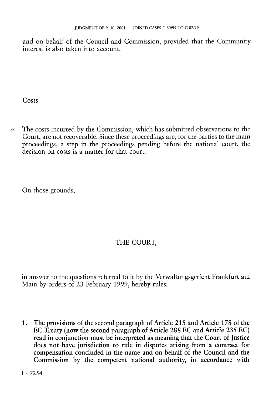and on behalf of the Council and Commission, provided that the Community interest is also taken into account.

**Costs** 

64 The costs incurred by the Commission, which has submitted observations to the Court, are not recoverable. Since these proceedings are, for the parties to the main proceedings, a step in the proceedings pending before the national court, the decision on costs is a matter for that court.

On those grounds,

# THE COURT,

in answer to the questions referred to it by the Verwaltungsgericht Frankfurt am Main by orders of 23 February 1999, hereby rules:

1. The provisions of the second paragraph of Article 215 and Article 178 of the EC Treaty (now the second paragraph of Article 288 EC and Article 235 EC) read in conjunction must be interpreted as meaning that the Court of Justice does not have jurisdiction to rule in disputes arising from a contract for compensation concluded in the name and on behalf of the Council and the Commission by the competent national authority, in accordance with